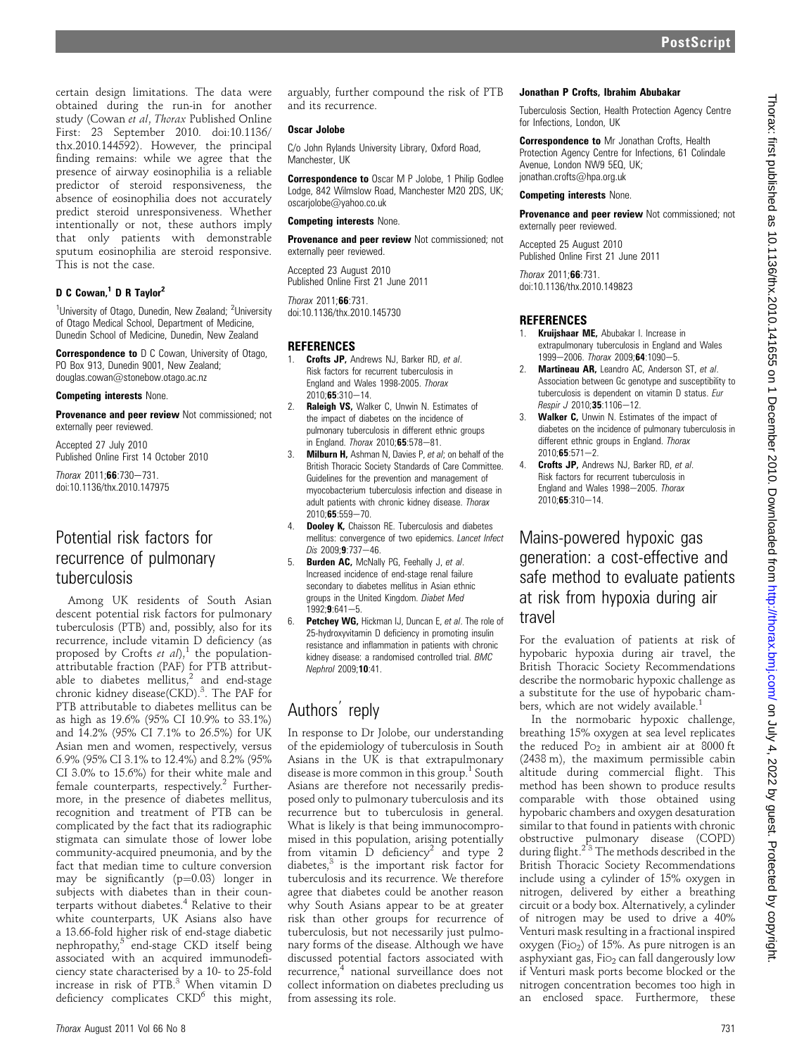certain design limitations. The data were obtained during the run-in for another study (Cowan et al, Thorax Published Online First: 23 September 2010. doi:10.1136/ thx.2010.144592). However, the principal finding remains: while we agree that the presence of airway eosinophilia is a reliable predictor of steroid responsiveness, the absence of eosinophilia does not accurately predict steroid unresponsiveness. Whether intentionally or not, these authors imply that only patients with demonstrable sputum eosinophilia are steroid responsive. This is not the case.

# D C Cowan,<sup>1</sup> D R Taylor<sup>2</sup>

<sup>1</sup>University of Otago, Dunedin, New Zealand; <sup>2</sup>University of Otago Medical School, Department of Medicine, Dunedin School of Medicine, Dunedin, New Zealand

**Correspondence to** D C Cowan, University of Otago, PO Box 913, Dunedin 9001, New Zealand; douglas.cowan@stonebow.otago.ac.nz

#### Competing interests None.

Provenance and peer review Not commissioned; not externally peer reviewed.

Accepted 27 July 2010 Published Online First 14 October 2010

 $Thorax 2011:66:730-731.$ doi:10.1136/thx.2010.147975

# Potential risk factors for recurrence of pulmonary tuberculosis

Among UK residents of South Asian descent potential risk factors for pulmonary tuberculosis (PTB) and, possibly, also for its recurrence, include vitamin D deficiency (as proposed by Crofts et  $aI$ <sup>1</sup>, the populationattributable fraction (PAF) for PTB attributable to diabetes mellitus, $2$  and end-stage chronic kidney disease(CKD).<sup>3</sup>. The PAF for PTB attributable to diabetes mellitus can be as high as 19.6% (95% CI 10.9% to 33.1%) and 14.2% (95% CI 7.1% to 26.5%) for UK Asian men and women, respectively, versus 6.9% (95% CI 3.1% to 12.4%) and 8.2% (95% CI 3.0% to 15.6%) for their white male and female counterparts, respectively.<sup>2</sup> Furthermore, in the presence of diabetes mellitus, recognition and treatment of PTB can be complicated by the fact that its radiographic stigmata can simulate those of lower lobe community-acquired pneumonia, and by the fact that median time to culture conversion may be significantly  $(p=0.03)$  longer in subjects with diabetes than in their counterparts without diabetes.<sup>4</sup> Relative to their white counterparts, UK Asians also have a 13.66-fold higher risk of end-stage diabetic nephropathy, $5$  end-stage CKD itself being associated with an acquired immunodeficiency state characterised by a 10- to 25-fold increase in risk of PTB.3 When vitamin D deficiency complicates  $\mathrm{CKD}^6$  this might,

arguably, further compound the risk of PTB and its recurrence.

#### Oscar Jolobe

C/o John Rylands University Library, Oxford Road, Manchester, UK

Correspondence to Oscar M P Jolobe, 1 Philip Godlee Lodge, 842 Wilmslow Road, Manchester M20 2DS, UK; oscarjolobe@yahoo.co.uk

#### Competing interests None.

**Provenance and peer review Not commissioned; not** externally peer reviewed.

Accepted 23 August 2010 Published Online First 21 June 2011

Thorax 2011;66:731. doi:10.1136/thx.2010.145730

# **REFERENCES**

- 1. **Crofts JP, Andrews NJ, Barker RD, et al.** Risk factors for recurrent tuberculosis in England and Wales 1998-2005. Thorax  $2010:65:310-14.$
- 2. Raleigh VS, Walker C, Unwin N. Estimates of the impact of diabetes on the incidence of pulmonary tuberculosis in different ethnic groups in England. Thorax  $2010:65:578-81$ .
- **Milburn H,** Ashman N, Davies P, et al; on behalf of the British Thoracic Society Standards of Care Committee. Guidelines for the prevention and management of myocobacterium tuberculosis infection and disease in adult patients with chronic kidney disease. Thorax  $2010:65:559 - 70.$
- 4. **Dooley K,** Chaisson RE. Tuberculosis and diabetes mellitus: convergence of two epidemics. Lancet Infect  $Dis 2009:9:737-46.$
- 5. **Burden AC, McNally PG, Feehally J, et al.** Increased incidence of end-stage renal failure secondary to diabetes mellitus in Asian ethnic groups in the United Kingdom. Diabet Med  $1992:9:641-5.$
- 6. Petchey WG, Hickman IJ, Duncan E, et al. The role of 25-hydroxyvitamin D deficiency in promoting insulin resistance and inflammation in patients with chronic kidney disease: a randomised controlled trial. BMC Nephrol 2009;10:41.

# Authors reply

In response to Dr Jolobe, our understanding of the epidemiology of tuberculosis in South Asians in the UK is that extrapulmonary disease is more common in this group.<sup>1</sup> South Asians are therefore not necessarily predisposed only to pulmonary tuberculosis and its recurrence but to tuberculosis in general. What is likely is that being immunocompromised in this population, arising potentially from vitamin  $\overrightarrow{D}$  deficiency<sup>2</sup> and type 2 diabetes, $3$  is the important risk factor for tuberculosis and its recurrence. We therefore agree that diabetes could be another reason why South Asians appear to be at greater risk than other groups for recurrence of tuberculosis, but not necessarily just pulmonary forms of the disease. Although we have discussed potential factors associated with recurrence,<sup>4</sup> national surveillance does not collect information on diabetes precluding us from assessing its role.

#### Jonathan P Crofts, Ibrahim Abubakar

Tuberculosis Section, Health Protection Agency Centre for Infections, London, UK

**Correspondence to Mr Jonathan Crofts, Health** Protection Agency Centre for Infections, 61 Colindale Avenue, London NW9 5EQ, UK; jonathan.crofts@hpa.org.uk

### Competing interests None.

**Provenance and peer review Not commissioned; not** externally peer reviewed.

Accepted 25 August 2010 Published Online First 21 June 2011

Thorax 2011;66:731. doi:10.1136/thx.2010.149823

# **REFERENCES**

- Kruijshaar ME, Abubakar I. Increase in extrapulmonary tuberculosis in England and Wales 1999-2006. Thorax 2009;64:1090-5.
- 2. Martineau AR, Leandro AC, Anderson ST, et al. Association between Gc genotype and susceptibility to tuberculosis is dependent on vitamin D status. Eur Respir J 2010;35:1106-12.
- 3. Walker C, Unwin N. Estimates of the impact of diabetes on the incidence of pulmonary tuberculosis in different ethnic groups in England. Thorax  $2010:65:571-2.$
- 4. **Crofts JP, Andrews NJ, Barker RD, et al.** Risk factors for recurrent tuberculosis in England and Wales 1998-2005. Thorax  $2010 \cdot 65 \cdot 310 - 14$

Mains-powered hypoxic gas generation: a cost-effective and safe method to evaluate patients at risk from hypoxia during air travel

For the evaluation of patients at risk of hypobaric hypoxia during air travel, the British Thoracic Society Recommendations describe the normobaric hypoxic challenge as a substitute for the use of hypobaric chambers, which are not widely available.<sup>1</sup>

In the normobaric hypoxic challenge, breathing 15% oxygen at sea level replicates the reduced  $P_{O_2}$  in ambient air at 8000 ft (2438 m), the maximum permissible cabin altitude during commercial flight. This method has been shown to produce results comparable with those obtained using hypobaric chambers and oxygen desaturation similar to that found in patients with chronic obstructive pulmonary disease (COPD)<br>during flight.<sup>23</sup> The methods described in the British Thoracic Society Recommendations include using a cylinder of 15% oxygen in nitrogen, delivered by either a breathing circuit or a body box. Alternatively, a cylinder of nitrogen may be used to drive a 40% Venturi mask resulting in a fractional inspired oxygen (Fi $_{2}$ ) of 15%. As pure nitrogen is an asphyxiant gas, Fio<sub>2</sub> can fall dangerously low if Venturi mask ports become blocked or the nitrogen concentration becomes too high in an enclosed space. Furthermore, these